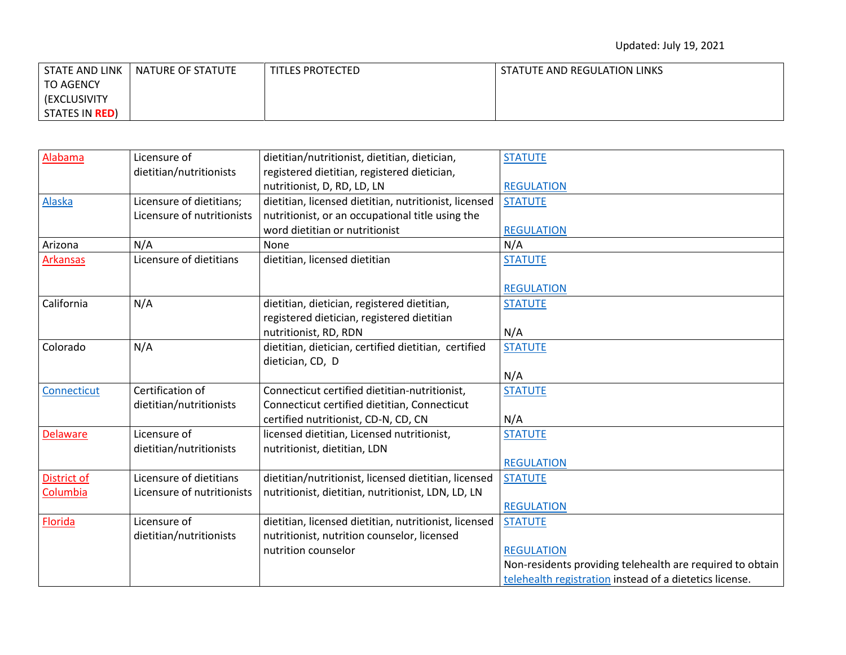| STATE AND LINK         | NATURE OF STATUTE | TITLES PROTECTED | STATUTE AND REGULATION LINKS |
|------------------------|-------------------|------------------|------------------------------|
| <b>TO AGENCY</b>       |                   |                  |                              |
| <b>(EXCLUSIVITY)</b>   |                   |                  |                              |
| STATES IN <b>RED</b> ) |                   |                  |                              |

| Alabama         | Licensure of               | dietitian/nutritionist, dietitian, dietician,         | <b>STATUTE</b>                                            |
|-----------------|----------------------------|-------------------------------------------------------|-----------------------------------------------------------|
|                 | dietitian/nutritionists    | registered dietitian, registered dietician,           |                                                           |
|                 |                            | nutritionist, D, RD, LD, LN                           | <b>REGULATION</b>                                         |
| Alaska          | Licensure of dietitians;   | dietitian, licensed dietitian, nutritionist, licensed | <b>STATUTE</b>                                            |
|                 | Licensure of nutritionists | nutritionist, or an occupational title using the      |                                                           |
|                 |                            | word dietitian or nutritionist                        | <b>REGULATION</b>                                         |
| Arizona         | N/A                        | None                                                  | N/A                                                       |
| <b>Arkansas</b> | Licensure of dietitians    | dietitian, licensed dietitian                         | <b>STATUTE</b>                                            |
|                 |                            |                                                       |                                                           |
|                 |                            |                                                       | <b>REGULATION</b>                                         |
| California      | N/A                        | dietitian, dietician, registered dietitian,           | <b>STATUTE</b>                                            |
|                 |                            | registered dietician, registered dietitian            |                                                           |
|                 |                            | nutritionist, RD, RDN                                 | N/A                                                       |
| Colorado        | N/A                        | dietitian, dietician, certified dietitian, certified  | <b>STATUTE</b>                                            |
|                 |                            | dietician, CD, D                                      |                                                           |
|                 |                            |                                                       | N/A                                                       |
| Connecticut     | Certification of           | Connecticut certified dietitian-nutritionist,         | <b>STATUTE</b>                                            |
|                 | dietitian/nutritionists    | Connecticut certified dietitian, Connecticut          |                                                           |
|                 |                            | certified nutritionist, CD-N, CD, CN                  | N/A                                                       |
| <b>Delaware</b> | Licensure of               | licensed dietitian, Licensed nutritionist,            | <b>STATUTE</b>                                            |
|                 | dietitian/nutritionists    | nutritionist, dietitian, LDN                          |                                                           |
|                 |                            |                                                       | <b>REGULATION</b>                                         |
| District of     | Licensure of dietitians    | dietitian/nutritionist, licensed dietitian, licensed  | <b>STATUTE</b>                                            |
| Columbia        | Licensure of nutritionists | nutritionist, dietitian, nutritionist, LDN, LD, LN    |                                                           |
|                 |                            |                                                       | <b>REGULATION</b>                                         |
| Florida         | Licensure of               | dietitian, licensed dietitian, nutritionist, licensed | <b>STATUTE</b>                                            |
|                 | dietitian/nutritionists    | nutritionist, nutrition counselor, licensed           |                                                           |
|                 |                            | nutrition counselor                                   | <b>REGULATION</b>                                         |
|                 |                            |                                                       | Non-residents providing telehealth are required to obtain |
|                 |                            |                                                       | telehealth registration instead of a dietetics license.   |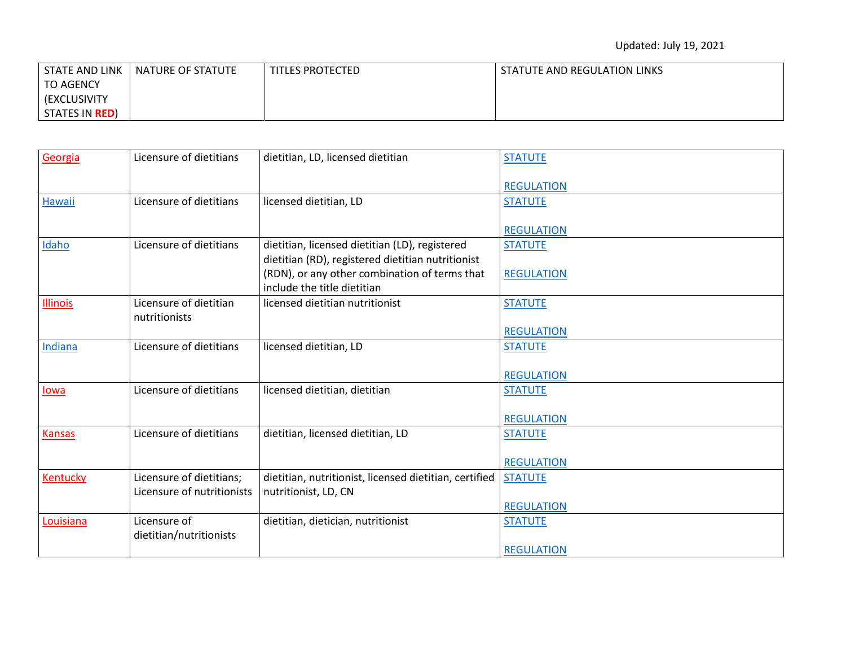| STATE AND LINK         | NATURE OF STATUTE | TITLES PROTECTED | STATUTE AND REGULATION LINKS |
|------------------------|-------------------|------------------|------------------------------|
| <b>TO AGENCY</b>       |                   |                  |                              |
| <b>(EXCLUSIVITY)</b>   |                   |                  |                              |
| STATES IN <b>RED</b> ) |                   |                  |                              |

| Georgia       | Licensure of dietitians                 | dietitian, LD, licensed dietitian                      | <b>STATUTE</b>    |
|---------------|-----------------------------------------|--------------------------------------------------------|-------------------|
|               |                                         |                                                        | <b>REGULATION</b> |
| Hawaii        | Licensure of dietitians                 | licensed dietitian, LD                                 | <b>STATUTE</b>    |
|               |                                         |                                                        | <b>REGULATION</b> |
| Idaho         | Licensure of dietitians                 | dietitian, licensed dietitian (LD), registered         | <b>STATUTE</b>    |
|               |                                         | dietitian (RD), registered dietitian nutritionist      |                   |
|               |                                         | (RDN), or any other combination of terms that          | <b>REGULATION</b> |
|               |                                         | include the title dietitian                            |                   |
| Illinois      | Licensure of dietitian<br>nutritionists | licensed dietitian nutritionist                        | <b>STATUTE</b>    |
|               |                                         |                                                        | <b>REGULATION</b> |
| Indiana       | Licensure of dietitians                 | licensed dietitian, LD                                 | <b>STATUTE</b>    |
|               |                                         |                                                        |                   |
|               |                                         |                                                        | <b>REGULATION</b> |
| lowa          | Licensure of dietitians                 | licensed dietitian, dietitian                          | <b>STATUTE</b>    |
|               |                                         |                                                        |                   |
|               |                                         |                                                        | <b>REGULATION</b> |
| <b>Kansas</b> | Licensure of dietitians                 | dietitian, licensed dietitian, LD                      | <b>STATUTE</b>    |
|               |                                         |                                                        |                   |
|               |                                         |                                                        | <b>REGULATION</b> |
| Kentucky      | Licensure of dietitians;                | dietitian, nutritionist, licensed dietitian, certified | <b>STATUTE</b>    |
|               | Licensure of nutritionists              | nutritionist, LD, CN                                   |                   |
|               |                                         |                                                        | <b>REGULATION</b> |
| Louisiana     | Licensure of                            | dietitian, dietician, nutritionist                     | <b>STATUTE</b>    |
|               | dietitian/nutritionists                 |                                                        |                   |
|               |                                         |                                                        | <b>REGULATION</b> |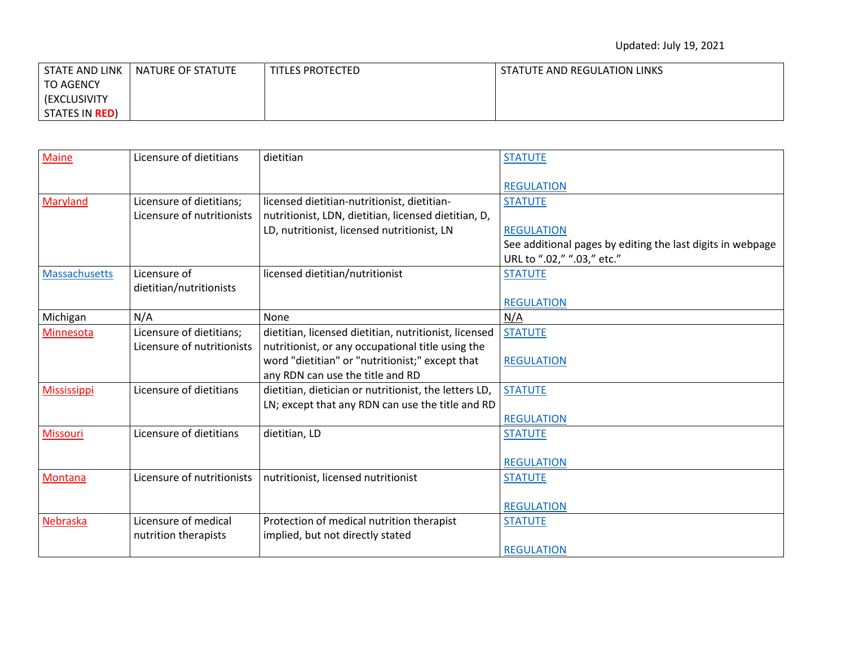| STATE AND LINK         | NATURE OF STATUTE | TITLES PROTECTED | STATUTE AND REGULATION LINKS |
|------------------------|-------------------|------------------|------------------------------|
| <b>TO AGENCY</b>       |                   |                  |                              |
| <b>(EXCLUSIVITY)</b>   |                   |                  |                              |
| STATES IN <b>RED</b> ) |                   |                  |                              |

| <b>Maine</b>       | Licensure of dietitians    | dietitian                                             | <b>STATUTE</b>                                             |
|--------------------|----------------------------|-------------------------------------------------------|------------------------------------------------------------|
|                    |                            |                                                       | <b>REGULATION</b>                                          |
| Maryland           | Licensure of dietitians;   | licensed dietitian-nutritionist, dietitian-           | <b>STATUTE</b>                                             |
|                    | Licensure of nutritionists | nutritionist, LDN, dietitian, licensed dietitian, D,  |                                                            |
|                    |                            | LD, nutritionist, licensed nutritionist, LN           | <b>REGULATION</b>                                          |
|                    |                            |                                                       | See additional pages by editing the last digits in webpage |
|                    |                            |                                                       | URL to ".02," ".03," etc."                                 |
| Massachusetts      | Licensure of               | licensed dietitian/nutritionist                       | <b>STATUTE</b>                                             |
|                    | dietitian/nutritionists    |                                                       |                                                            |
|                    |                            |                                                       | <b>REGULATION</b>                                          |
| Michigan           | N/A                        | None                                                  | N/A                                                        |
| Minnesota          | Licensure of dietitians;   | dietitian, licensed dietitian, nutritionist, licensed | <b>STATUTE</b>                                             |
|                    | Licensure of nutritionists | nutritionist, or any occupational title using the     |                                                            |
|                    |                            | word "dietitian" or "nutritionist;" except that       | <b>REGULATION</b>                                          |
|                    |                            | any RDN can use the title and RD                      |                                                            |
| <b>Mississippi</b> | Licensure of dietitians    | dietitian, dietician or nutritionist, the letters LD, | <b>STATUTE</b>                                             |
|                    |                            | LN; except that any RDN can use the title and RD      |                                                            |
|                    |                            |                                                       | <b>REGULATION</b>                                          |
| Missouri           | Licensure of dietitians    | dietitian, LD                                         | <b>STATUTE</b>                                             |
|                    |                            |                                                       |                                                            |
|                    |                            |                                                       | <b>REGULATION</b>                                          |
| Montana            | Licensure of nutritionists | nutritionist, licensed nutritionist                   | <b>STATUTE</b>                                             |
|                    |                            |                                                       |                                                            |
|                    |                            |                                                       | <b>REGULATION</b>                                          |
| Nebraska           | Licensure of medical       | Protection of medical nutrition therapist             | <b>STATUTE</b>                                             |
|                    | nutrition therapists       | implied, but not directly stated                      |                                                            |
|                    |                            |                                                       | <b>REGULATION</b>                                          |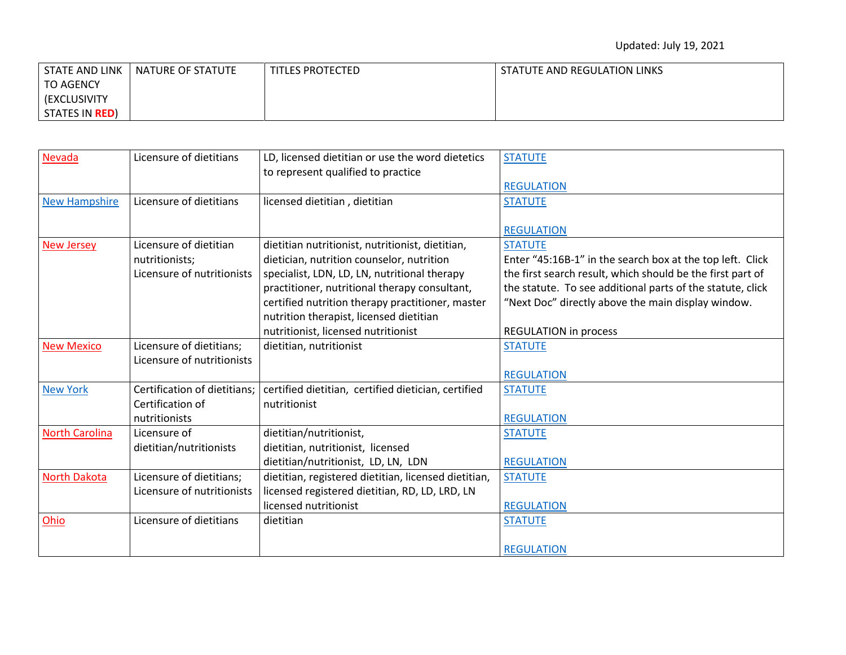| STATE AND LINK         | NATURE OF STATUTE | TITLES PROTECTED | STATUTE AND REGULATION LINKS |
|------------------------|-------------------|------------------|------------------------------|
| TO AGENCY              |                   |                  |                              |
| (EXCLUSIVITY)          |                   |                  |                              |
| STATES IN <b>RED</b> ) |                   |                  |                              |

| Nevada                | Licensure of dietitians      | LD, licensed dietitian or use the word dietetics     | <b>STATUTE</b>                                             |
|-----------------------|------------------------------|------------------------------------------------------|------------------------------------------------------------|
|                       |                              | to represent qualified to practice                   |                                                            |
|                       |                              |                                                      | <b>REGULATION</b>                                          |
| <b>New Hampshire</b>  | Licensure of dietitians      | licensed dietitian, dietitian                        | <b>STATUTE</b>                                             |
|                       |                              |                                                      |                                                            |
|                       |                              |                                                      | <b>REGULATION</b>                                          |
| <b>New Jersey</b>     | Licensure of dietitian       | dietitian nutritionist, nutritionist, dietitian,     | <b>STATUTE</b>                                             |
|                       | nutritionists;               | dietician, nutrition counselor, nutrition            | Enter "45:16B-1" in the search box at the top left. Click  |
|                       | Licensure of nutritionists   | specialist, LDN, LD, LN, nutritional therapy         | the first search result, which should be the first part of |
|                       |                              | practitioner, nutritional therapy consultant,        | the statute. To see additional parts of the statute, click |
|                       |                              | certified nutrition therapy practitioner, master     | "Next Doc" directly above the main display window.         |
|                       |                              | nutrition therapist, licensed dietitian              |                                                            |
|                       |                              | nutritionist, licensed nutritionist                  | <b>REGULATION in process</b>                               |
| <b>New Mexico</b>     | Licensure of dietitians;     | dietitian, nutritionist                              | <b>STATUTE</b>                                             |
|                       | Licensure of nutritionists   |                                                      |                                                            |
|                       |                              |                                                      | <b>REGULATION</b>                                          |
| <b>New York</b>       | Certification of dietitians; | certified dietitian, certified dietician, certified  | <b>STATUTE</b>                                             |
|                       | Certification of             | nutritionist                                         |                                                            |
|                       | nutritionists                |                                                      | <b>REGULATION</b>                                          |
| <b>North Carolina</b> | Licensure of                 | dietitian/nutritionist,                              | <b>STATUTE</b>                                             |
|                       | dietitian/nutritionists      | dietitian, nutritionist, licensed                    |                                                            |
|                       |                              | dietitian/nutritionist, LD, LN, LDN                  | <b>REGULATION</b>                                          |
| <b>North Dakota</b>   | Licensure of dietitians;     | dietitian, registered dietitian, licensed dietitian, | <b>STATUTE</b>                                             |
|                       | Licensure of nutritionists   | licensed registered dietitian, RD, LD, LRD, LN       |                                                            |
|                       |                              | licensed nutritionist                                | <b>REGULATION</b>                                          |
| Ohio                  | Licensure of dietitians      | dietitian                                            | <b>STATUTE</b>                                             |
|                       |                              |                                                      |                                                            |
|                       |                              |                                                      | <b>REGULATION</b>                                          |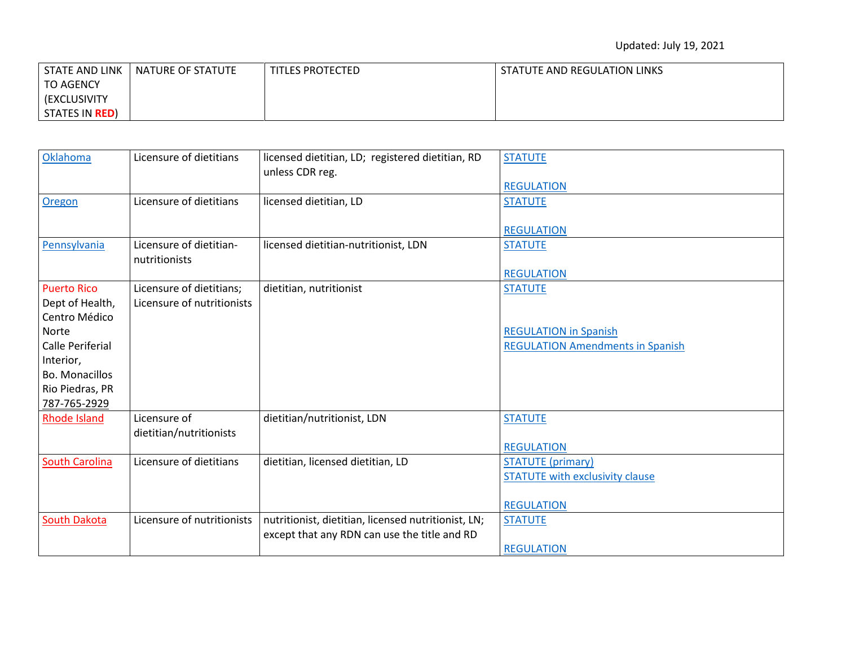| STATE AND LINK         | NATURE OF STATUTE | TITLES PROTECTED | STATUTE AND REGULATION LINKS |
|------------------------|-------------------|------------------|------------------------------|
| <b>TO AGENCY</b>       |                   |                  |                              |
| <b>(EXCLUSIVITY)</b>   |                   |                  |                              |
| STATES IN <b>RED</b> ) |                   |                  |                              |

| Oklahoma                            | Licensure of dietitians                  | licensed dietitian, LD; registered dietitian, RD<br>unless CDR reg. | <b>STATUTE</b>                          |
|-------------------------------------|------------------------------------------|---------------------------------------------------------------------|-----------------------------------------|
|                                     |                                          |                                                                     | <b>REGULATION</b>                       |
| Oregon                              | Licensure of dietitians                  | licensed dietitian, LD                                              | <b>STATUTE</b>                          |
|                                     |                                          |                                                                     | <b>REGULATION</b>                       |
| Pennsylvania                        | Licensure of dietitian-<br>nutritionists | licensed dietitian-nutritionist, LDN                                | <b>STATUTE</b>                          |
|                                     |                                          |                                                                     | <b>REGULATION</b>                       |
| <b>Puerto Rico</b>                  | Licensure of dietitians;                 | dietitian, nutritionist                                             | <b>STATUTE</b>                          |
| Dept of Health,                     | Licensure of nutritionists               |                                                                     |                                         |
| Centro Médico                       |                                          |                                                                     |                                         |
| Norte                               |                                          |                                                                     | <b>REGULATION in Spanish</b>            |
| <b>Calle Periferial</b>             |                                          |                                                                     | <b>REGULATION Amendments in Spanish</b> |
| Interior,                           |                                          |                                                                     |                                         |
| Bo. Monacillos                      |                                          |                                                                     |                                         |
| Rio Piedras, PR                     |                                          |                                                                     |                                         |
| 787-765-2929<br><b>Rhode Island</b> | Licensure of                             | dietitian/nutritionist, LDN                                         | <b>STATUTE</b>                          |
|                                     | dietitian/nutritionists                  |                                                                     |                                         |
|                                     |                                          |                                                                     | <b>REGULATION</b>                       |
| <b>South Carolina</b>               | Licensure of dietitians                  | dietitian, licensed dietitian, LD                                   | <b>STATUTE</b> (primary)                |
|                                     |                                          |                                                                     | <b>STATUTE with exclusivity clause</b>  |
|                                     |                                          |                                                                     |                                         |
|                                     |                                          |                                                                     | <b>REGULATION</b>                       |
| South Dakota                        | Licensure of nutritionists               | nutritionist, dietitian, licensed nutritionist, LN;                 | <b>STATUTE</b>                          |
|                                     |                                          | except that any RDN can use the title and RD                        |                                         |
|                                     |                                          |                                                                     | <b>REGULATION</b>                       |